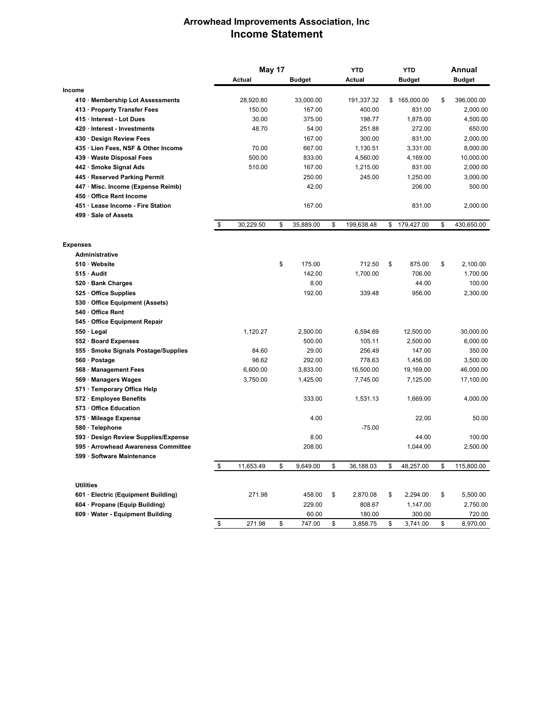## **Arrowhead Improvements Association, Inc Income Statement**

|                                      | May 17 |           |    | <b>YTD</b>    | <b>YTD</b>       |    | Annual        |    |               |
|--------------------------------------|--------|-----------|----|---------------|------------------|----|---------------|----|---------------|
|                                      |        | Actual    |    | <b>Budget</b> | Actual           |    | <b>Budget</b> |    | <b>Budget</b> |
| Income                               |        |           |    |               |                  |    |               |    |               |
| 410 Membership Lot Assessments       |        | 28,920.80 |    | 33,000.00     | 191,337.32       | \$ | 165,000.00    | \$ | 396,000.00    |
| 413 · Property Transfer Fees         |        | 150.00    |    | 167.00        | 400.00           |    | 831.00        |    | 2,000.00      |
| 415 · Interest - Lot Dues            |        | 30.00     |    | 375.00        | 198.77           |    | 1,875.00      |    | 4,500.00      |
| 420 Interest - Investments           |        | 48.70     |    | 54.00         | 251.88           |    | 272.00        |    | 650.00        |
| 430 Design Review Fees               |        |           |    | 167.00        | 300.00           |    | 831.00        |    | 2,000.00      |
| 435 Lien Fees, NSF & Other Income    |        | 70.00     |    | 667.00        | 1,130.51         |    | 3,331.00      |    | 8,000.00      |
| 439 Waste Disposal Fees              |        | 500.00    |    | 833.00        | 4,560.00         |    | 4,169.00      |    | 10,000.00     |
| 442 · Smoke Signal Ads               |        | 510.00    |    | 167.00        | 1,215.00         |    | 831.00        |    | 2,000.00      |
| 445 · Reserved Parking Permit        |        |           |    | 250.00        | 245.00           |    | 1,250.00      |    | 3,000.00      |
| 447 · Misc. Income (Expense Reimb)   |        |           |    | 42.00         |                  |    | 206.00        |    | 500.00        |
| 450 Office Rent Income               |        |           |    |               |                  |    |               |    |               |
| 451 Lease Income - Fire Station      |        |           |    | 167.00        |                  |    | 831.00        |    | 2,000.00      |
| 499 · Sale of Assets                 |        |           |    |               |                  |    |               |    |               |
|                                      | \$     | 30,229.50 | \$ | 35,889.00     | \$<br>199,638.48 | \$ | 179,427.00    | \$ | 430,650.00    |
| <b>Expenses</b>                      |        |           |    |               |                  |    |               |    |               |
| <b>Administrative</b>                |        |           |    |               |                  |    |               |    |               |
| 510 Website                          |        |           | \$ | 175.00        | 712.50           | \$ | 875.00        | \$ | 2,100.00      |
| 515 Audit                            |        |           |    | 142.00        | 1,700.00         |    | 706.00        |    | 1,700.00      |
| 520 · Bank Charges                   |        |           |    | 8.00          |                  |    | 44.00         |    | 100.00        |
| 525 Office Supplies                  |        |           |    | 192.00        | 339.48           |    | 956.00        |    | 2,300.00      |
| 530 Office Equipment (Assets)        |        |           |    |               |                  |    |               |    |               |
| 540 Office Rent                      |        |           |    |               |                  |    |               |    |               |
| 545 Office Equipment Repair          |        |           |    |               |                  |    |               |    |               |
| $550 \cdot$ Legal                    |        | 1,120.27  |    | 2,500.00      | 6,594.69         |    | 12,500.00     |    | 30,000.00     |
| 552 · Board Expenses                 |        |           |    | 500.00        | 105.11           |    | 2,500.00      |    | 6,000.00      |
| 555 · Smoke Signals Postage/Supplies |        | 84.60     |    | 29.00         | 256.49           |    | 147.00        |    | 350.00        |
| 560 · Postage                        |        | 98.62     |    | 292.00        | 778.63           |    | 1,456.00      |    | 3,500.00      |
| 568 Management Fees                  |        | 6,600.00  |    | 3,833.00      | 16,500.00        |    | 19,169.00     |    | 46,000.00     |
| 569 · Managers Wages                 |        | 3.750.00  |    | 1,425.00      | 7,745.00         |    | 7,125.00      |    | 17,100.00     |
| 571 · Temporary Office Help          |        |           |    |               |                  |    |               |    |               |
| 572 · Employee Benefits              |        |           |    | 333.00        | 1,531.13         |    | 1,669.00      |    | 4,000.00      |
| 573 Office Education                 |        |           |    |               |                  |    |               |    |               |
| 575 Mileage Expense                  |        |           |    | 4.00          |                  |    | 22.00         |    | 50.00         |
| 580 · Telephone                      |        |           |    |               | $-75.00$         |    |               |    |               |
| 593 Design Review Supplies/Expense   |        |           |    | 8.00          |                  |    | 44.00         |    | 100.00        |
| 595 Arrowhead Awareness Committee    |        |           |    | 208.00        |                  |    | 1,044.00      |    | 2,500.00      |
| 599 · Software Maintenance           |        |           |    |               |                  |    |               |    |               |
|                                      | \$     | 11,653.49 | \$ | 9,649.00      | \$<br>36,188.03  | \$ | 48,257.00     | \$ | 115,800.00    |
|                                      |        |           |    |               |                  |    |               |    |               |
| <b>Utilities</b>                     |        |           |    |               |                  |    |               |    |               |
| 601 Electric (Equipment Building)    |        | 271.98    |    | 458.00        | \$<br>2,870.08   | \$ | 2,294.00      | \$ | 5,500.00      |
| 604 · Propane (Equip Building)       |        |           |    | 229.00        | 808.67           |    | 1,147.00      |    | 2,750.00      |
| 609 Water - Equipment Building       |        |           |    | 60.00         | 180.00           |    | 300.00        |    | 720.00        |
|                                      | \$     | 271.98    | \$ | 747.00        | \$<br>3,858.75   | \$ | 3,741.00      | \$ | 8,970.00      |